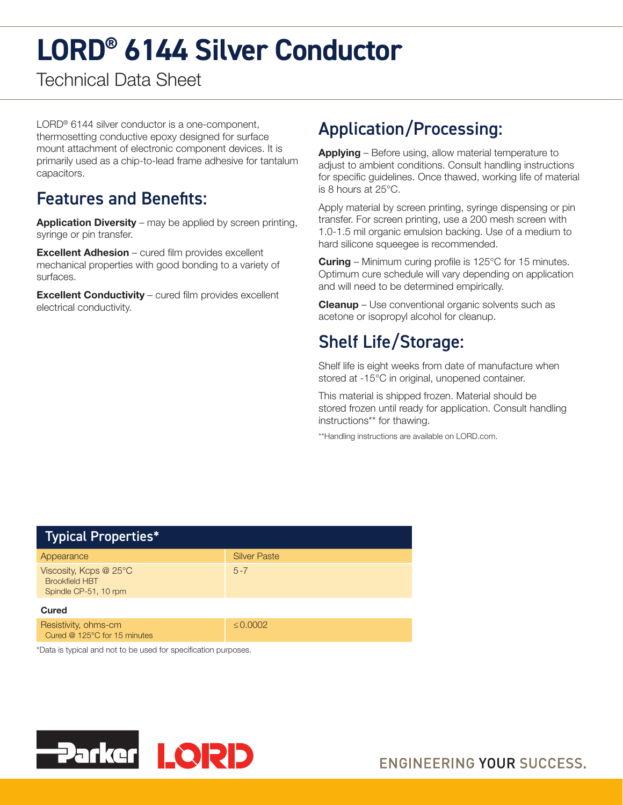# **LORD® 6144 Silver Conductor**

Technical Data Sheet

LORD® 6144 silver conductor is a one-component, thermosetting conductive epoxy designed for surface mount attachment of electronic component devices. It is primarily used as a chip-to-lead frame adhesive for tantalum capacitors.

#### Features and Benefits:

**Application Diversity** – may be applied by screen printing, syringe or pin transfer.

Excellent Adhesion – cured film provides excellent mechanical properties with good bonding to a variety of surfaces.

Excellent Conductivity – cured film provides excellent electrical conductivity.

## Application/Processing:

Applying - Before using, allow material temperature to adjust to ambient conditions. Consult handling instructions for specific guidelines. Once thawed, working life of material is 8 hours at 25°C.

Apply material by screen printing, syringe dispensing or pin transfer. For screen printing, use a 200 mesh screen with 1.0-1.5 mil organic emulsion backing. Use of a medium to hard silicone squeegee is recommended.

**Curing** – Minimum curing profile is 125°C for 15 minutes. Optimum cure schedule will vary depending on application and will need to be determined empirically.

**Cleanup** – Use conventional organic solvents such as acetone or isopropyl alcohol for cleanup.

### Shelf Life/Storage:

Shelf life is eight weeks from date of manufacture when stored at -15°C in original, unopened container.

This material is shipped frozen. Material should be stored frozen until ready for application. Consult handling instructions\*\* for thawing.

\*\*Handling instructions are available on LORD.com.

| <b>Typical Properties*</b>                                                      |                     |
|---------------------------------------------------------------------------------|---------------------|
| Appearance                                                                      | <b>Silver Paste</b> |
| Viscosity, Kcps @ 25°C<br><b>Brookfield HBT</b><br>Spindle CP-51, 10 rpm        | $5 - 7$             |
| Cured                                                                           |                     |
| Resistivity, ohms-cm<br>Cured @ 125°C for 15 minutes                            | $\leq 0.0002$       |
| ¥™anda ta milata ah a dahil a dhiga baga da da baga da datin da bagaya da da da |                     |

\*Data is typical and not to be used for specification purposes.